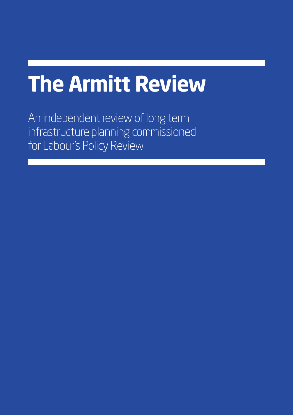# **The Armitt Review**

An independent review of long term infrastructure planning commissioned for Labour's Policy Review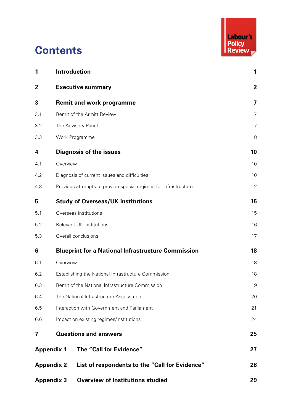

# **Contents**

| 1           | <b>Introduction</b>                                                 | 1              |  |  |
|-------------|---------------------------------------------------------------------|----------------|--|--|
| $\mathbf 2$ | <b>Executive summary</b>                                            | $\overline{2}$ |  |  |
| 3           | <b>Remit and work programme</b>                                     | 7              |  |  |
| 3.1         | Remit of the Armitt Review                                          | $\overline{7}$ |  |  |
| 3.2         | The Advisory Panel                                                  | $\overline{7}$ |  |  |
| 3.3         | Work Programme                                                      | 8              |  |  |
| 4           | <b>Diagnosis of the issues</b>                                      | 10             |  |  |
| 4.1         | Overview                                                            | 10             |  |  |
| 4.2         | Diagnosis of current issues and difficulties                        | 10             |  |  |
| 4.3         | Previous attempts to provide special regimes for infrastructure     |                |  |  |
| 5           | <b>Study of Overseas/UK institutions</b>                            | 15             |  |  |
| 5.1         | Overseas institutions                                               | 15             |  |  |
| 5.2         | Relevant UK institutions                                            |                |  |  |
| 5.3         | Overall conclusions                                                 | 17             |  |  |
| 6           | <b>Blueprint for a National Infrastructure Commission</b>           | 18             |  |  |
| 6.1         | Overview                                                            |                |  |  |
| 6.2         | Establishing the National Infrastructure Commission                 |                |  |  |
| 6.3         | Remit of the National Infrastructure Commission                     |                |  |  |
| 6.4         | The National Infrastructure Assessment                              |                |  |  |
| 6.5         | Interaction with Government and Parliament                          |                |  |  |
| 6.6         | Impact on existing regimes/institutions                             |                |  |  |
| 7           | <b>Questions and answers</b>                                        | 25             |  |  |
|             | The "Call for Evidence"<br><b>Appendix 1</b>                        | 27             |  |  |
|             | <b>Appendix 2</b><br>List of respondents to the "Call for Evidence" | 28             |  |  |
|             | <b>Overview of Institutions studied</b><br><b>Appendix 3</b>        | 29             |  |  |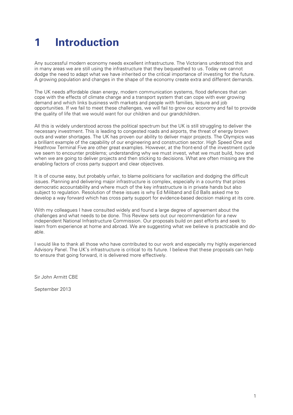# **1 Introduction**

Any successful modern economy needs excellent infrastructure. The Victorians understood this and in many areas we are still using the infrastructure that they bequeathed to us. Today we cannot dodge the need to adapt what we have inherited or the critical importance of investing for the future. A growing population and changes in the shape of the economy create extra and different demands.

The UK needs affordable clean energy, modern communication systems, flood defences that can cope with the effects of climate change and a transport system that can cope with ever growing demand and which links business with markets and people with families, leisure and job opportunities. If we fail to meet these challenges, we will fail to grow our economy and fail to provide the quality of life that we would want for our children and our grandchildren.

All this is widely understood across the political spectrum but the UK is still struggling to deliver the necessary investment. This is leading to congested roads and airports, the threat of energy brown outs and water shortages. The UK has proven our ability to deliver major projects. The Olympics was a brilliant example of the capability of our engineering and construction sector. High Speed One and Heathrow Terminal Five are other great examples. However, at the front-end of the investment cycle we seem to encounter problems; understanding why we must invest, what we must build, how and when we are going to deliver projects and then sticking to decisions. What are often missing are the enabling factors of cross party support and clear objectives.

It is of course easy, but probably unfair, to blame politicians for vacillation and dodging the difficult issues. Planning and delivering major infrastructure is complex, especially in a country that prizes democratic accountability and where much of the key infrastructure is in private hands but also subject to regulation. Resolution of these issues is why Ed Miliband and Ed Balls asked me to develop a way forward which has cross party support for evidence-based decision making at its core.

With my colleagues I have consulted widely and found a large degree of agreement about the challenges and what needs to be done. This Review sets out our recommendation for a new independent National Infrastructure Commission. Our proposals build on past efforts and seek to learn from experience at home and abroad. We are suggesting what we believe is practicable and doable.

I would like to thank all those who have contributed to our work and especially my highly experienced Advisory Panel. The UK's infrastructure is critical to its future. I believe that these proposals can help to ensure that going forward, it is delivered more effectively.

Sir John Armitt CBE

September 2013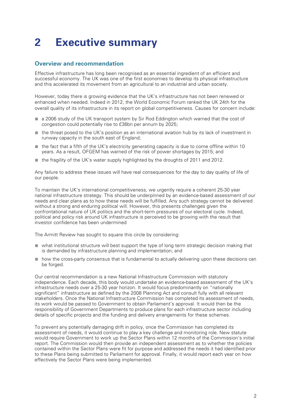# **2 Executive summary**

#### **Overview and recommendation**

Effective infrastructure has long been recognised as an essential ingredient of an efficient and successful economy. The UK was one of the first economies to develop its physical infrastructure and this accelerated its movement from an agricultural to an industrial and urban society.

However, today there is growing evidence that the UK's infrastructure has not been renewed or enhanced when needed. Indeed in 2012, the World Economic Forum ranked the UK 24th for the overall quality of its infrastructure in its report on global competitiveness. Causes for concern include:

- a 2006 study of the UK transport system by Sir Rod Eddington which warned that the cost of congestion could potentially rise to £36bn per annum by 2025;
- the threat posed to the UK's position as an international aviation hub by its lack of investment in runway capacity in the south east of England;
- the fact that a fifth of the UK's electricity generating capacity is due to come offline within 10 years. As a result, OFGEM has warned of the risk of power shortages by 2015; and
- the fragility of the UK's water supply highlighted by the droughts of 2011 and 2012.

Any failure to address these issues will have real consequences for the day to day quality of life of our people.

To maintain the UK's international competitiveness, we urgently require a coherent 25-30 year national infrastructure strategy. This should be underpinned by an evidence-based assessment of our needs and clear plans as to how these needs will be fulfilled. Any such strategy cannot be delivered without a strong and enduring political will. However, this presents challenges given the confrontational nature of UK politics and the short-term pressures of our electoral cycle. Indeed, political and policy risk around UK infrastructure is perceived to be growing with the result that investor confidence has been undermined

The Armitt Review has sought to square this circle by considering:

- what institutional structure will best support the type of long term strategic decision making that is demanded by infrastructure planning and implementation; and
- how the cross-party consensus that is fundamental to actually delivering upon these decisions can be forged.

Our central recommendation is a new National Infrastructure Commission with statutory independence. Each decade, this body would undertake an evidence-based assessment of the UK's infrastructure needs over a 25-30 year horizon. It would focus predominantly on "nationally significant" infrastructure as defined by the 2008 Planning Act and consult fully with all relevant stakeholders. Once the National Infrastructure Commission has completed its assessment of needs, its work would be passed to Government to obtain Parliament's approval. It would then be the responsibility of Government Departments to produce plans for each infrastructure sector including details of specific projects and the funding and delivery arrangements for these schemes.

To prevent any potentially damaging drift in policy, once the Commission has completed its assessment of needs, it would continue to play a key challenge and monitoring role. New statute would require Government to work up the Sector Plans within 12 months of the Commission's initial report. The Commission would then provide an independent assessment as to whether the policies contained within the Sector Plans were fit for purpose and addressed the needs it had identified prior to these Plans being submitted to Parliament for approval. Finally, it would report each year on how effectively the Sector Plans were being implemented.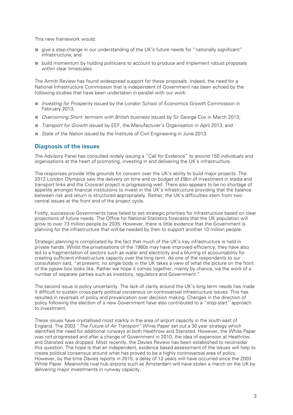This new framework would:

- give a step-change in our understanding of the UK's future needs for "nationally significant" infrastructure; and
- build momentum by holding politicians to account to produce and implement robust proposals within clear timescales.

The Armitt Review has found widespread support for these proposals. Indeed, the need for a National Infrastructure Commission that is independent of Government has been echoed by the following studies that have been undertaken in parallel with our work:

- *Investing for Prosperity* issued by the London School of Economics Growth Commission in February 2013;
- *Overcoming Short- termism with British business* issued by Sir George Cox in March 2013;
- *Transport for Growth* issued by EEF, the Manufacturer's Organisation in April 2013; and
- *State of the Nation* issued by the Institute of Civil Engineering in June 2013.

#### **Diagnosis of the issues**

The Advisory Panel has consulted widely issuing a "Call for Evidence" to around 150 individuals and organisations at the heart of promoting, investing in and delivering the UK's infrastructure.

The responses provide little grounds for concern over the UK's ability to build major projects. The 2012 London Olympics saw the delivery on time and on budget of £9bn of investment in stadia and transport links and the Crossrail project is progressing well. There also appears to be no shortage of appetite amongst financial institutions to invest in the UK's infrastructure providing that the balance between risk and return is structured appropriately. Rather, the UK's difficulties stem from two central issues at the front end of the project cycle.

Firstly, successive Governments have failed to set strategic priorities for infrastructure based on clear projections of future needs. The Office for National Statistics forecasts that the UK population will grow to over 73 million people by 2035. However, there is little evidence that the Government is planning for the infrastructure that will be needed by then to support another 10 million people.

Strategic planning is complicated by the fact that much of the UK's key infrastructure is held in private hands. Whilst the privatisations of the 1980s may have improved efficiency, they have also led to a fragmentation of sectors such as water and electricity and a blurring of accountability for creating sufficient infrastructure capacity over the long term. As one of the respondents to our consultation said, "at present, no single body in the UK takes a view of what the picture on the front of the jigsaw box looks like. Rather we hope it comes together, mainly by chance, via the work of a number of separate parties such as investors, regulators and Government."

The second issue is policy uncertainty. The lack of clarity around the UK's long term needs has made it difficult to sustain cross-party political consensus on controversial infrastructure issues. This has resulted in reversals of policy and prevarication over decision making. Changes in the direction of policy following the election of a new Government have also contributed to a "stop-start" approach to investment.

These issues have crystallised most starkly in the area of airport capacity in the south east of England. The 2003 "*The Future of Air Transport"* White Paper set out a 30 year strategy which identified the need for additional runways at both Heathrow and Stansted. However, the White Paper was not progressed and after a change of Government in 2010, the idea of expansion at Heathrow and Stansted was dropped. Most recently, the Davies Review has been established to reconsider this question. The hope is that an independent, evidence based assessment of the issues will help to create political consensus around what has proved to be a highly controversial area of policy. However, by the time Davies reports in 2015, a delay of 12 years will have occurred since the 2003 White Paper. Meanwhile rival hub airports such as Amsterdam will have stolen a march on the UK by delivering major investments in runway capacity.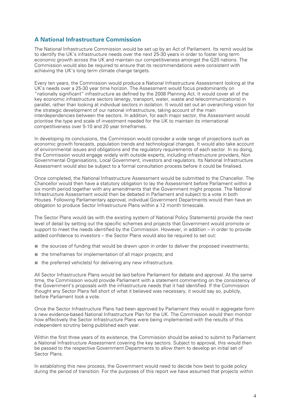#### **A National Infrastructure Commission**

The National Infrastructure Commission would be set up by an Act of Parliament. Its remit would be to identify the UK's infrastructure needs over the next 25-30 years in order to foster long term economic growth across the UK and maintain our competitiveness amongst the G20 nations. The Commission would also be required to ensure that its recommendations were consistent with achieving the UK's long term climate change targets.

Every ten years, the Commission would produce a National Infrastructure Assessment looking at the UK's needs over a 25-30 year time horizon. The Assessment would focus predominantly on "nationally significant" infrastructure as defined by the 2008 Planning Act. It would cover all of the key economic infrastructure sectors (energy, transport, water, waste and telecommunications) in parallel, rather than looking at individual sectors in isolation. It would set out an overarching vision for the strategic development of our national infrastructure, taking account of the main interdependencies between the sectors. In addition, for each major sector, the Assessment would prioritise the type and scale of investment needed for the UK to maintain its international competitiveness over 5-10 and 20 year timeframes.

In developing its conclusions, the Commission would consider a wide range of projections such as economic growth forecasts, population trends and technological changes. It would also take account of environmental issues and obligations and the regulatory requirements of each sector. In so doing, the Commission would engage widely with outside experts, including infrastructure providers, Non Governmental Organisations, Local Government, investors and regulators. Its National Infrastructure Assessment would also be subject to a formal consultation process before it could be finalised.

Once completed, the National Infrastructure Assessment would be submitted to the Chancellor. The Chancellor would then have a statutory obligation to lay the Assessment before Parliament within a six month period together with any amendments that the Government might propose. The National Infrastructure Assessment would then be debated in Parliament and subject to a vote in both Houses. Following Parliamentary approval, individual Government Departments would then have an obligation to produce Sector Infrastructure Plans within a 12 month timescale.

The Sector Plans would (as with the existing system of National Policy Statements) provide the next level of detail by setting out the specific schemes and projects that Government would promote or support to meet the needs identified by the Commission. However, in addition – in order to provide added confidence to investors – the Sector Plans would also be required to set out:

- the sources of funding that would be drawn upon in order to deliver the proposed investments;
- the timeframes for implementation of all major projects; and
- the preferred vehicle(s) for delivering any new infrastructure.

All Sector Infrastructure Plans would be laid before Parliament for debate and approval. At the same time, the Commission would provide Parliament with a statement commenting on the consistency of the Government's proposals with the infrastructure needs that it had identified. If the Commission thought any Sector Plans fell short of what it believed was necessary, it would say so, publicly, before Parliament took a vote.

Once the Sector Infrastructure Plans had been approved by Parliament they would in aggregate form a new evidence-based National Infrastructure Plan for the UK. The Commission would then monitor how effectively the Sector Infrastructure Plans were being implemented with the results of this independent scrutiny being published each year.

Within the first three years of its existence, the Commission should be asked to submit to Parliament a National Infrastructure Assessment covering the key sectors. Subject to approval, this would then be passed to the respective Government Departments to allow them to develop an initial set of Sector Plans.

In establishing this new process, the Government would need to decide how best to guide policy during the period of transition. For the purposes of this report we have assumed that projects within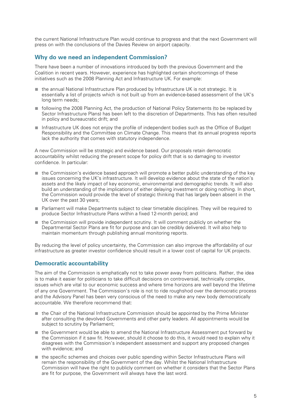the current National Infrastructure Plan would continue to progress and that the next Government will press on with the conclusions of the Davies Review on airport capacity.

#### **Why do we need an independent Commission?**

There have been a number of innovations introduced by both the previous Government and the Coalition in recent years. However, experience has highlighted certain shortcomings of these initiatives such as the 2008 Planning Act and Infrastructure UK. For example:

- the annual National Infrastructure Plan produced by Infrastructure UK is not strategic. It is essentially a list of projects which is not built up from an evidence-based assessment of the UK's long term needs;
- following the 2008 Planning Act, the production of National Policy Statements (to be replaced by Sector Infrastructure Plans) has been left to the discretion of Departments. This has often resulted in policy and bureaucratic drift; and
- Infrastructure UK does not enjoy the profile of independent bodies such as the Office of Budget Responsibility and the Committee on Climate Change. This means that its annual progress reports lack the authority that comes with statutory independence.

A new Commission will be strategic and evidence based. Our proposals retain democratic accountability whilst reducing the present scope for policy drift that is so damaging to investor confidence. In particular:

- the Commission's evidence based approach will promote a better public understanding of the key issues concerning the UK's infrastructure. It will develop evidence about the state of the nation's assets and the likely impact of key economic, environmental and demographic trends. It will also build an understanding of the implications of either delaying investment or doing nothing. In short, the Commission would provide the level of strategic thinking that has largely been absent in the UK over the past 30 years;
- Parliament will make Departments subject to clear timetable disciplines. They will be required to produce Sector Infrastructure Plans within a fixed 12-month period; and
- the Commission will provide independent scrutiny. It will comment publicly on whether the Departmental Sector Plans are fit for purpose and can be credibly delivered. It will also help to maintain momentum through publishing annual monitoring reports.

By reducing the level of policy uncertainty, the Commission can also improve the affordability of our infrastructure as greater investor confidence should result in a lower cost of capital for UK projects.

#### **Democratic accountability**

The aim of the Commission is emphatically not to take power away from politicians. Rather, the idea is to make it easier for politicians to take difficult decisions on controversial, technically complex, issues which are vital to our economic success and where time horizons are well beyond the lifetime of any one Government. The Commission's role is not to ride roughshod over the democratic process and the Advisory Panel has been very conscious of the need to make any new body democratically accountable. We therefore recommend that:

- the Chair of the National Infrastructure Commission should be appointed by the Prime Minister after consulting the devolved Governments and other party leaders. All appointments would be subject to scrutiny by Parliament;
- the Government would be able to amend the National Infrastructure Assessment put forward by the Commission if it saw fit. However, should it choose to do this, it would need to explain why it disagrees with the Commission's independent assessment and support any proposed changes with evidence; and
- the specific schemes and choices over public spending within Sector Infrastructure Plans will remain the responsibility of the Government of the day. Whilst the National Infrastructure Commission will have the right to publicly comment on whether it considers that the Sector Plans are fit for purpose, the Government will always have the last word.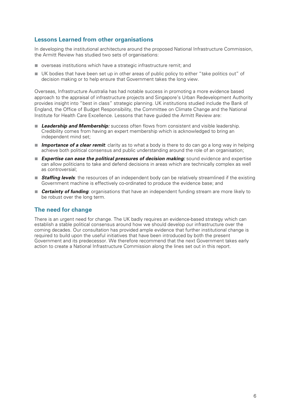#### **Lessons Learned from other organisations**

In developing the institutional architecture around the proposed National Infrastructure Commission, the Armitt Review has studied two sets of organisations:

- overseas institutions which have a strategic infrastructure remit; and
- UK bodies that have been set up in other areas of public policy to either "take politics out" of decision making or to help ensure that Government takes the long view.

Overseas, Infrastructure Australia has had notable success in promoting a more evidence based approach to the appraisal of infrastructure projects and Singapore's Urban Redevelopment Authority provides insight into "best in class" strategic planning. UK institutions studied include the Bank of England, the Office of Budget Responsibility, the Committee on Climate Change and the National Institute for Health Care Excellence. Lessons that have guided the Armitt Review are:

- **Leadership and Membership:** success often flows from consistent and visible leadership. Credibility comes from having an expert membership which is acknowledged to bring an independent mind set;
- *Importance of a clear remit:* clarity as to what a body is there to do can go a long way in helping achieve both political consensus and public understanding around the role of an organisation;
- *Expertise can ease the political pressures of decision making:* sound evidence and expertise can allow politicians to take and defend decisions in areas which are technically complex as well as controversial;
- **Staffing levels**: the resources of an independent body can be relatively streamlined if the existing Government machine is effectively co-ordinated to produce the evidence base; and
- *Certainty of funding*: organisations that have an independent funding stream are more likely to be robust over the long term.

#### **The need for change**

There is an urgent need for change. The UK badly requires an evidence-based strategy which can establish a stable political consensus around how we should develop our infrastructure over the coming decades. Our consultation has provided ample evidence that further institutional change is required to build upon the useful initiatives that have been introduced by both the present Government and its predecessor. We therefore recommend that the next Government takes early action to create a National Infrastructure Commission along the lines set out in this report.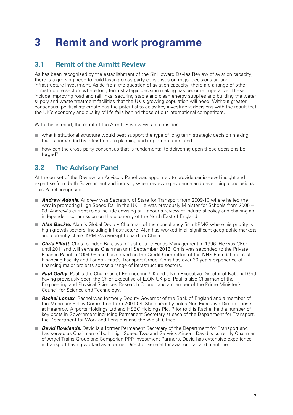# **3 Remit and work programme**

# **3.1 Remit of the Armitt Review**

As has been recognised by the establishment of the Sir Howard Davies Review of aviation capacity, there is a growing need to build lasting cross-party consensus on major decisions around infrastructure investment. Aside from the question of aviation capacity, there are a range of other infrastructure sectors where long term strategic decision making has become imperative. These include improving road and rail links, securing stable and clean energy supplies and building the water supply and waste treatment facilities that the UK's growing population will need. Without greater consensus, political stalemate has the potential to delay key investment decisions with the result that the UK's economy and quality of life falls behind those of our international competitors.

With this in mind, the remit of the Armitt Review was to consider:

- what institutional structure would best support the type of long term strategic decision making that is demanded by infrastructure planning and implementation; and
- how can the cross-party consensus that is fundamental to delivering upon these decisions be forged?

# **3.2 The Advisory Panel**

At the outset of the Review, an Advisory Panel was appointed to provide senior-level insight and expertise from both Government and industry when reviewing evidence and developing conclusions. This Panel comprised:

- **Andrew Adonis**. Andrew was Secretary of State for Transport from 2009-10 where he led the way in promoting High Speed Rail in the UK. He was previously Minister for Schools from 2005 – 08. Andrew's current roles include advising on Labour's review of industrial policy and chairing an independent commission on the economy of the North East of England.
- *Alan Buckle*. Alan is Global Deputy Chairman of the consultancy firm KPMG where his priority is high growth sectors, including infrastructure. Alan has worked in all significant geographic markets and currently chairs KPMG's oversight board for China.
- **Chris Elliott**. Chris founded Barclays Infrastructure Funds Management in 1996. He was CEO until 2011and will serve as Chairman until September 2013. Chris was seconded to the Private Finance Panel in 1994-95 and has served on the Credit Committee of the NHS Foundation Trust Financing Facility and London First's Transport Group. Chris has over 30 years experience of financing major projects across a range of infrastructure sectors.
- *Paul Golby*. Paul is the Chairman of Engineering UK and a Non-Executive Director of National Grid having previously been the Chief Executive of E.ON UK plc. Paul is also Chairman of the Engineering and Physical Sciences Research Council and a member of the Prime Minister's Council for Science and Technology.
- **Rachel Lomax**. Rachel was formerly Deputy Governor of the Bank of England and a member of the Monetary Policy Committee from 2003-08. She currently holds Non-Executive Director posts at Heathrow Airports Holdings Ltd and HSBC Holdings Plc. Prior to this Rachel held a number of key posts in Government including Permanent Secretary at each of the Department for Transport, the Department for Work and Pensions and the Welsh Office.
- *David Rowlands*. David is a former Permanent Secretary of the Department for Transport and has served as Chairman of both High Speed Two and Gatwick Airport. David is currently Chairman of Angel Trains Group and Semperian PPP Investment Partners. David has extensive experience in transport having worked as a former Director General for aviation, rail and maritime.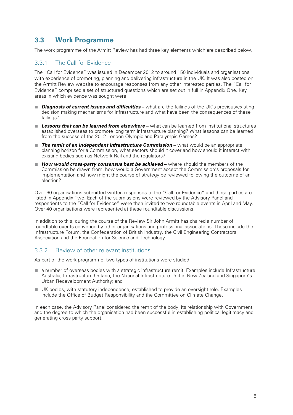## **3.3 Work Programme**

The work programme of the Armitt Review has had three key elements which are described below.

#### 3.3.1 The Call for Evidence

The "Call for Evidence" was issued in December 2012 to around 150 individuals and organisations with experience of promoting, planning and delivering infrastructure in the UK. It was also posted on the Armitt Review website to encourage responses from any other interested parties. The "Call for Evidence" comprised a set of structured questions which are set out in full in Appendix One. Key areas in which evidence was sought were:

- *Diagnosis of current issues and difficulties* what are the failings of the UK's previous/existing decision making mechanisms for infrastructure and what have been the consequences of these failings?
- **Lessons that can be learned from elsewhere** what can be learned from institutional structures established overseas to promote long term infrastructure planning? What lessons can be learned from the success of the 2012 London Olympic and Paralympic Games?
- *The remit of an independent Infrastructure Commission* **–** what would be an appropriate planning horizon for a Commission, what sectors should it cover and how should it interact with existing bodies such as Network Rail and the regulators?
- *How would cross-party consensus best be achieved* **–** where should the members of the Commission be drawn from, how would a Government accept the Commission's proposals for implementation and how might the course of strategy be reviewed following the outcome of an election?

Over 60 organisations submitted written responses to the "Call for Evidence" and these parties are listed in Appendix Two. Each of the submissions were reviewed by the Advisory Panel and respondents to the "Call for Evidence" were then invited to two roundtable events in April and May. Over 40 organisations were represented at these roundtable discussions.

In addition to this, during the course of the Review Sir John Armitt has chaired a number of roundtable events convened by other organisations and professional associations. These include the Infrastructure Forum, the Confederation of British Industry, the Civil Engineering Contractors Association and the Foundation for Science and Technology.

#### 3.3.2 Review of other relevant institutions

As part of the work programme, two types of institutions were studied:

- a number of overseas bodies with a strategic infrastructure remit. Examples include Infrastructure Australia, Infrastructure Ontario, the National Infrastructure Unit in New Zealand and Singapore's Urban Redevelopment Authority; and
- UK bodies, with statutory independence, established to provide an oversight role. Examples include the Office of Budget Responsibility and the Committee on Climate Change.

In each case, the Advisory Panel considered the remit of the body, its relationship with Government and the degree to which the organisation had been successful in establishing political legitimacy and generating cross party support.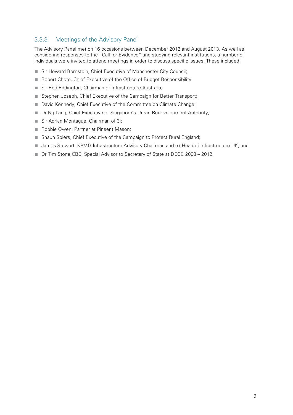#### 3.3.3 Meetings of the Advisory Panel

The Advisory Panel met on 16 occasions between December 2012 and August 2013. As well as considering responses to the "Call for Evidence" and studying relevant institutions, a number of individuals were invited to attend meetings in order to discuss specific issues. These included:

- Sir Howard Bernstein, Chief Executive of Manchester City Council;
- Robert Chote, Chief Executive of the Office of Budget Responsibility;
- Sir Rod Eddington, Chairman of Infrastructure Australia;
- Stephen Joseph, Chief Executive of the Campaign for Better Transport;
- David Kennedy, Chief Executive of the Committee on Climate Change;
- Dr Ng Lang, Chief Executive of Singapore's Urban Redevelopment Authority;
- Sir Adrian Montague, Chairman of 3i;
- Robbie Owen, Partner at Pinsent Mason;
- Shaun Spiers, Chief Executive of the Campaign to Protect Rural England;
- James Stewart, KPMG Infrastructure Advisory Chairman and ex Head of Infrastructure UK; and
- Dr Tim Stone CBE, Special Advisor to Secretary of State at DECC 2008 2012.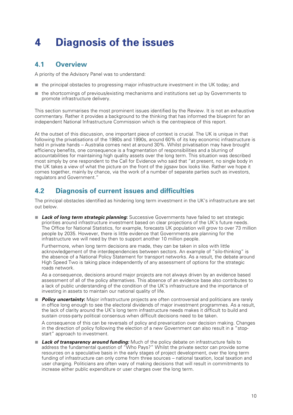# **4 Diagnosis of the issues**

### **4.1 Overview**

A priority of the Advisory Panel was to understand:

- the principal obstacles to progressing major infrastructure investment in the UK today; and
- the shortcomings of previous/existing mechanisms and institutions set up by Governments to promote infrastructure delivery.

This section summarises the most prominent issues identified by the Review. It is not an exhaustive commentary. Rather it provides a background to the thinking that has informed the blueprint for an independent National Infrastructure Commission which is the centrepiece of this report.

At the outset of this discussion, one important piece of context is crucial. The UK is unique in that following the privatisations of the 1980s and 1990s, around 60% of its key economic infrastructure is held in private hands – Australia comes next at around 30%. Whilst privatisation may have brought efficiency benefits, one consequence is a fragmentation of responsibilities and a blurring of accountabilities for maintaining high quality assets over the long term. This situation was described most simply by one respondent to the Call for Evidence who said that "at present, no single body in the UK takes a view of what the picture on the front of the jigsaw box looks like. Rather we hope it comes together, mainly by chance, via the work of a number of separate parties such as investors, regulators and Government."

### **4.2 Diagnosis of current issues and difficulties**

The principal obstacles identified as hindering long term investment in the UK's infrastructure are set out below.

■ **Lack of long term strategic planning**: Successive Governments have failed to set strategic priorities around infrastructure investment based on clear projections of the UK's future needs. The Office for National Statistics, for example, forecasts UK population will grow to over 73 million people by 2035. However, there is little evidence that Governments are planning for the infrastructure we will need by then to support another 10 million people.

Furthermore, when long term decisions are made, they can be taken in silos with little acknowledgement of the interdependencies between sectors. An example of "silo-thinking" is the absence of a National Policy Statement for transport networks. As a result, the debate around High Speed Two is taking place independently of any assessment of options for the strategic roads network.

As a consequence, decisions around major projects are not always driven by an evidence based assessment of all of the policy alternatives. This absence of an evidence base also contributes to a lack of public understanding of the condition of the UK's infrastructure and the importance of investing in assets to maintain our national quality of life.

■ *Policy uncertainty***:** Major infrastructure projects are often controversial and politicians are rarely in office long enough to see the electoral dividends of major investment programmes. As a result, the lack of clarity around the UK's long term infrastructure needs makes it difficult to build and sustain cross-party political consensus when difficult decisions need to be taken.

A consequence of this can be reversals of policy and prevarication over decision making. Changes in the direction of policy following the election of a new Government can also result in a "stopstart" approach to investment.

■ **Lack of transparency around funding:** Much of the policy debate on infrastructure fails to address the fundamental question of "Who Pays?" Whilst the private sector can provide some resources on a speculative basis in the early stages of project development, over the long term funding of infrastructure can only come from three sources – national taxation, local taxation and user charging. Politicians are often wary of making decisions that will result in commitments to increase either public expenditure or user charges over the long term.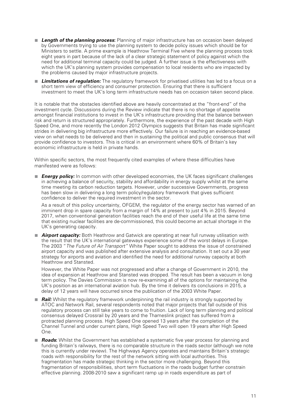- **Length of the planning process:** Planning of major infrastructure has on occasion been delayed by Governments trying to use the planning system to decide policy issues which should be for Ministers to settle. A prime example is Heathrow Terminal Five where the planning process took eight years in part because of the lack of a clear strategic statement of policy against which the need for additional terminal capacity could be judged. A further issue is the effectiveness with which the UK's planning system provides compensation to local residents who are impacted by the problems caused by major infrastructure projects.
- **Limitations of requlation:** The requlatory framework for privatised utilities has led to a focus on a short term view of efficiency and consumer protection. Ensuring that there is sufficient investment to meet the UK's long term infrastructure needs has on occasion taken second place.

It is notable that the obstacles identified above are heavily concentrated at the "front-end" of the investment cycle. Discussions during the Review indicate that there is no shortage of appetite amongst financial institutions to invest in the UK's infrastructure providing that the balance between risk and return is structured appropriately. Furthermore, the experience of the past decade with High Speed One, and more recently the London 2012 Olympics suggests that Britain has made significant strides in delivering big infrastructure more effectively. Our failure is in reaching an evidence-based view on what needs to be delivered and then in sustaining the political and public consensus that will provide confidence to investors. This is critical in an environment where 60% of Britain's key economic infrastructure is held in private hands.

Within specific sectors, the most frequently cited examples of where these difficulties have manifested were as follows:

■ *Energy policy:* In common with other developed economies, the UK faces significant challenges in achieving a balance of security, stability and affordability in energy supply whilst at the same time meeting its carbon reduction targets. However, under successive Governments, progress has been slow in delivering a long term policy/regulatory framework that gives sufficient confidence to deliver the required investment in the sector.

As a result of this policy uncertainty, OFGEM, the regulator of the energy sector has warned of an imminent drop in spare capacity from a margin of 14% at present to just 4% in 2015. Beyond 2017, when conventional generation facilities reach the end of their useful life at the same time that existing nuclear facilities are de-commissioned, this could become an actual shortage in the UK's generating capacity.

■ *Airport capacity:* Both Heathrow and Gatwick are operating at near full runway utilisation with the result that the UK's international gateways experience some of the worst delays in Europe. The 2003 "*The Future of Air Transport"* White Paper sought to address the issue of constrained airport capacity and was published after extensive analysis and consultation. It set out a 30 year strategy for airports and aviation and identified the need for additional runway capacity at both Heathrow and Stansted.

However, the White Paper was not progressed and after a change of Government in 2010, the idea of expansion at Heathrow and Stansted was dropped. The result has been a vacuum in long term policy. The Davies Commission is now re-examining all of the options for maintaining the UK's position as an international aviation hub. By the time it delivers its conclusions in 2015, a delay of 12 years will have occurred since the publication of the 2003 White Paper.

- *Rail:* Whilst the regulatory framework underpinning the rail industry is strongly supported by ATOC and Network Rail, several respondents noted that major projects that fall outside of this regulatory process can still take years to come to fruition. Lack of long term planning and political consensus delayed Crossrail by 20 years and the Thameslink project has suffered from a protracted planning process. High Speed One opened 13 years after the completion of the Channel Tunnel and under current plans, High Speed Two will open 19 years after High Speed One.
- *Roads*: Whilst the Government has established a systematic five year process for planning and funding Britain's railways, there is no comparable structure in the roads sector (although we note this is currently under review). The Highways Agency operates and maintains Britain's strategic roads with responsibility for the rest of the network sitting with local authorities. This fragmentation has made strategic thinking in the sector more challenging. Beyond this fragmentation of responsibilities, short term fluctuations in the roads budget further constrain effective planning. 2008-2010 saw a significant ramp up in roads expenditure as part of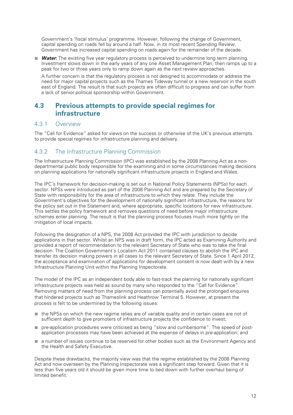Government's 'fiscal stimulus' programme. However, following the change of Government, capital spending on roads fell by around a half. Now, in its most recent Spending Review, Government has increased capital spending on roads again for the remainder of the decade.

■ *Water*: The existing five year regulatory process is perceived to undermine long term planning. Investment slows down in the early years of any one Asset Management Plan, then ramps up to a peak for two or three years only to ramp down again as the next review approaches.

A further concern is that the regulatory process is not designed to accommodate or address the need for major capital projects such as the Thames Tideway tunnel or a new reservoir in the south east of England. The result is that such projects are often difficult to progress and can suffer from a lack of senior political sponsorship within Government.

### **4.3 Previous attempts to provide special regimes for infrastructure**

#### 4.3.1 Overview

The "Call for Evidence" asked for views on the success or otherwise of the UK's previous attempts to provide special regimes for infrastructure planning and delivery.

#### 4.3.2 The Infrastructure Planning Commission

The Infrastructure Planning Commission (IPC) was established by the 2008 Planning Act as a nondepartmental public body responsible for the examining and in some circumstances making decisions on planning applications for nationally significant infrastructure projects in England and Wales.

The IPC's framework for decision-making is set out in National Policy Statements (NPSs) for each sector. NPSs were introduced as part of the 2008 Planning Act and are prepared by the Secretary of State with responsibility for the area of infrastructure to which they relate. They include the Government's objectives for the development of nationally significant infrastructure, the reasons for the policy set out in the Statement and, where appropriate, specific locations for new infrastructure. This settles the policy framework and removes questions of need before major infrastructure schemes enter planning. The result is that the planning process focuses much more tightly on the mitigation of local impacts.

Following the designation of a NPS, the 2008 Act provided the IPC with jurisdiction to decide applications in that sector. Whilst an NPS was in draft form, the IPC acted as Examining Authority and provided a report of recommendation to the relevant Secretary of State who was to take the final decision. The Coalition Government's Localism Act 2011 contained clauses to abolish the IPC and transfer its decision making powers in all cases to the relevant Secretary of State. Since 1 April 2012, the acceptance and examination of applications for development consent is now dealt with by a new Infrastructure Planning Unit within the Planning Inspectorate.

The model of the IPC as an independent body able to fast-track the planning for nationally significant infrastructure projects was held as sound by many who responded to the "Call for Evidence". Removing matters of need from the planning process can potentially avoid the prolonged enquires that hindered projects such as Thameslink and Heathrow Terminal 5. However, at present the process is felt to be undermined by the following issues:

- the NPSs on which the new regime relies are of variable quality and in certain cases are not of sufficient depth to give promoters of infrastructure projects the confidence to invest;
- pre-application procedures were criticised as being "slow and cumbersome". The speed of postapplication processes may have been achieved at the expense of delays in pre-application; and
- a number of issues continue to be reserved for other bodies such as the Environment Agency and the Health and Safety Executive.

Despite these drawbacks, the majority view was that the regime established by the 2008 Planning Act and now overseen by the Planning Inspectorate was a significant step forward. Given that it is less than five years old it should be given more time to bed down with further overhaul being of limited benefit.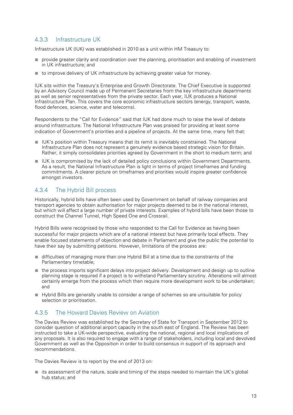#### 4.3.3 Infrastructure UK

Infrastructure UK (IUK) was established in 2010 as a unit within HM Treasury to:

- provide greater clarity and coordination over the planning, prioritisation and enabling of investment in UK infrastructure; and
- to improve delivery of UK infrastructure by achieving greater value for money.

IUK sits within the Treasury's Enterprise and Growth Directorate. The Chief Executive is supported by an Advisory Council made up of Permanent Secretaries from the key infrastructure departments as well as senior representatives from the private sector. Each year, IUK produces a National Infrastructure Plan. This covers the core economic infrastructure sectors (energy, transport, waste, flood defences, science, water and telecoms).

Respondents to the "Call for Evidence" said that IUK had done much to raise the level of debate around infrastructure. The National Infrastructure Plan was praised for providing at least some indication of Government's priorities and a pipeline of projects. At the same time, many felt that:

- IUK's position within Treasury means that its remit is inevitably constrained. The National Infrastructure Plan does not represent a genuinely evidence based strategic vision for Britain. Rather, it simply consolidates priorities agreed by Government in the short to medium term; and
- IUK is compromised by the lack of detailed policy conclusions within Government Departments. As a result, the National Infrastructure Plan is light in terms of project timeframes and funding commitments. A clearer picture on timeframes and priorities would inspire greater confidence amongst investors.

#### 4.3.4 The Hybrid Bill process

Historically, hybrid bills have often been used by Government on behalf of railway companies and transport agencies to obtain authorisation for major projects deemed to be in the national interest, but which will affect a large number of private interests. Examples of hybrid bills have been those to construct the Channel Tunnel, High Speed One and Crossrail.

Hybrid Bills were recognised by those who responded to the Call for Evidence as having been successful for major projects which are of a national interest but have primarily local effects. They enable focused statements of objection and debate in Parliament and give the public the potential to have their say by submitting petitions. However, limitations of the process are:

- difficulties of managing more than one Hybrid Bill at a time due to the constraints of the Parliamentary timetable;
- the process imports significant delays into project delivery. Development and design up to outline planning stage is required if a project is to withstand Parliamentary scrutiny. Alterations will almost certainly emerge from the process which then require more development work to be undertaken; and
- Hybrid Bills are generally unable to consider a range of schemes so are unsuitable for policy selection or prioritisation.

#### 4.3.5 The Howard Davies Review on Aviation

The Davies Review was established by the Secretary of State for Transport in September 2012 to consider question of additional airport capacity in the south east of England. The Review has been instructed to take a UK-wide perspective, evaluating the national, regional and local implications of any proposals. It is also required to engage with a range of stakeholders, including local and devolved Government as well as the Opposition in order to build consensus in support of its approach and recommendations.

The Davies Review is to report by the end of 2013 on:

■ its assessment of the nature, scale and timing of the steps needed to maintain the UK's global hub status; and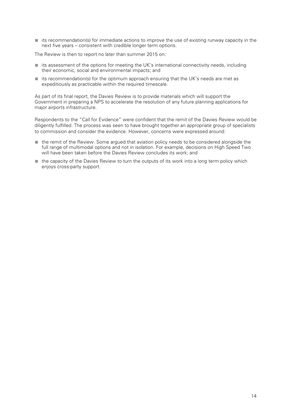■ its recommendation(s) for immediate actions to improve the use of existing runway capacity in the next five years – consistent with credible longer term options.

The Review is then to report no later than summer 2015 on:

- its assessment of the options for meeting the UK's international connectivity needs, including their economic, social and environmental impacts; and
- its recommendation(s) for the optimum approach ensuring that the UK's needs are met as expeditiously as practicable within the required timescale.

As part of its final report, the Davies Review is to provide materials which will support the Government in preparing a NPS to accelerate the resolution of any future planning applications for major airports infrastructure.

Respondents to the "Call for Evidence" were confident that the remit of the Davies Review would be diligently fulfilled. The process was seen to have brought together an appropriate group of specialists to commission and consider the evidence. However, concerns were expressed around:

- the remit of the Review. Some argued that aviation policy needs to be considered alongside the full range of multimodal options and not in isolation. For example, decisions on High Speed Two will have been taken before the Davies Review concludes its work; and
- the capacity of the Davies Review to turn the outputs of its work into a long term policy which enjoys cross-party support.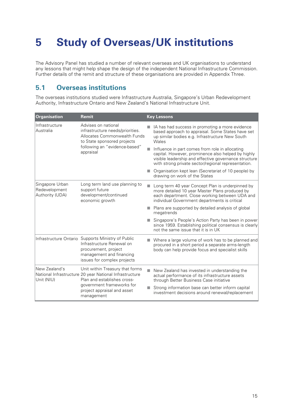# **5 Study of Overseas/UK institutions**

The Advisory Panel has studied a number of relevant overseas and UK organisations to understand any lessons that might help shape the design of the independent National Infrastructure Commission. Further details of the remit and structure of these organisations are provided in Appendix Three.

### **5.1 Overseas institutions**

The overseas institutions studied were Infrastructure Australia, Singapore's Urban Redevelopment Authority, Infrastructure Ontario and New Zealand's National Infrastructure Unit.

| Organisation                                        | Remit                                                                                                                                                                                               |   | <b>Key Lessons</b>                                                                                                                                                                                                    |
|-----------------------------------------------------|-----------------------------------------------------------------------------------------------------------------------------------------------------------------------------------------------------|---|-----------------------------------------------------------------------------------------------------------------------------------------------------------------------------------------------------------------------|
| Infrastructure<br>Australia                         | Advises on national<br>infrastructure needs/priorities.<br>Allocates Commonwealth Funds<br>to State sponsored projects<br>following an "evidence-based"<br>appraisal                                |   | IA has had success in promoting a more evidence<br>based approach to appraisal. Some States have set<br>up similar bodies e.g. Infrastructure New South<br>Wales                                                      |
|                                                     |                                                                                                                                                                                                     | Ш | Influence in part comes from role in allocating<br>capital. However, prominence also helped by highly<br>visible leadership and effective governance structure<br>with strong private sector/regional representation. |
|                                                     |                                                                                                                                                                                                     |   | Organisation kept lean (Secretariat of 10 people) by<br>drawing on work of the States                                                                                                                                 |
| Singapore Urban<br>Redevelopment<br>Authority (UDA) | Long term land use planning to<br>support future<br>development/continued<br>economic growth                                                                                                        |   | Long term 40 year Concept Plan is underpinned by<br>more detailed 10 year Master Plans produced by<br>each department. Close working between UDA and<br>individual Government departments is critical                 |
|                                                     |                                                                                                                                                                                                     |   | Plans are supported by detailed analysis of global<br>megatrends                                                                                                                                                      |
|                                                     |                                                                                                                                                                                                     |   | Singapore's People's Action Party has been in power<br>since 1959. Establishing political consensus is clearly<br>not the same issue that it is in UK                                                                 |
|                                                     | Infrastructure Ontario Supports Ministry of Public<br>Infrastructure Renewal on<br>procurement, project<br>management and financing<br>issues for complex projects                                  |   | Where a large volume of work has to be planned and<br>procured in a short period a separate arms-length<br>body can help provide focus and specialist skills                                                          |
| New Zealand's<br>Unit (NIU)                         | Unit within Treasury that forms<br>National Infrastructure 20 year National Infrastructure<br>Plan and establishes cross-<br>government frameworks for<br>project appraisal and asset<br>management | H | New Zealand has invested in understanding the<br>actual performance of its infrastructure assets<br>through Better Business Case initiative                                                                           |
|                                                     |                                                                                                                                                                                                     |   | Strong information base can better inform capital<br>investment decisions around renewal/replacement                                                                                                                  |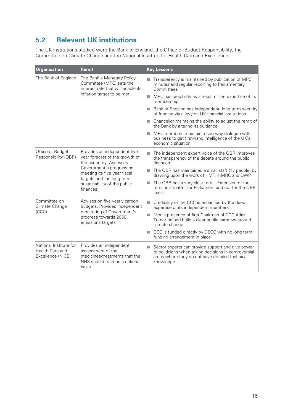# **5.2 Relevant UK institutions**

The UK institutions studied were the Bank of England, the Office of Budget Responsibility, the Committee on Climate Change and the National Institute for Health Care and Excellence.

| Organisation                                                                                     | <b>Remit</b>                                                                                                                                                                                                                 |            | <b>Key Lessons</b>                                                                                                                                                         |
|--------------------------------------------------------------------------------------------------|------------------------------------------------------------------------------------------------------------------------------------------------------------------------------------------------------------------------------|------------|----------------------------------------------------------------------------------------------------------------------------------------------------------------------------|
| The Bank of England                                                                              | The Bank's Monetary Policy<br>Committee (MPC) sets the<br>interest rate that will enable its<br>inflation target to be met                                                                                                   |            | Transparency is maintained by publication of MPC<br>minutes and regular reporting to Parliamentary<br>Committees                                                           |
|                                                                                                  |                                                                                                                                                                                                                              | <b>COL</b> | MPC has credibility as a result of the expertise of its<br>membership                                                                                                      |
|                                                                                                  |                                                                                                                                                                                                                              | ٠          | Bank of England has independent, long term security<br>of funding via a levy on UK financial institutions                                                                  |
|                                                                                                  |                                                                                                                                                                                                                              |            | Chancellor maintains the ability to adjust the remit of<br>the Bank by altering its guidance                                                                               |
|                                                                                                  |                                                                                                                                                                                                                              | ٠          | MPC members maintain a two way dialogue with<br>business to get first-hand intelligence of the UK's<br>economic situation                                                  |
| Office of Budget<br>Responsibility (OBR)                                                         | Provides an independent five<br>year forecast of the growth of<br>the economy. Assesses<br>Government's progress on<br>meeting its five year fiscal<br>targets and the long term<br>sustainability of the public<br>finances |            | The independent expert voice of the OBR improves<br>the transparency of the debate around the public<br>finances                                                           |
|                                                                                                  |                                                                                                                                                                                                                              |            | The OBR has maintained a small staff (17 people) by<br>drawing upon the work of HMT, HMRC and DWP                                                                          |
|                                                                                                  |                                                                                                                                                                                                                              |            | The OBR has a very clear remit. Extension of the<br>remit is a matter for Parliament and not for the OBR<br>itself.                                                        |
| Committee on<br>Advises on five yearly carbon<br>Climate Change<br>budgets. Provides independent |                                                                                                                                                                                                                              | <b>COL</b> | Credibility of the CCC is enhanced by the deep<br>expertise of its independent members                                                                                     |
| (CCC)                                                                                            | monitoring of Government's<br>progress towards 2050<br>emissions targets                                                                                                                                                     | m.         | Media presence of first Chairman of CCC Adair<br>Turner helped build a clear public narrative around<br>climate change                                                     |
|                                                                                                  |                                                                                                                                                                                                                              |            | CCC is funded directly by DECC with no long term<br>funding arrangement in place                                                                                           |
| National Institute for<br><b>Health Care and</b><br>Excellence (NICE)                            | Provides an independent<br>assessment of the<br>medicines/treatments that the<br>NHS should fund on a national<br>basis                                                                                                      |            | Sector experts can provide support and give power<br>to politicians when taking decisions in controversial<br>areas where they do not have detailed technical<br>knowledge |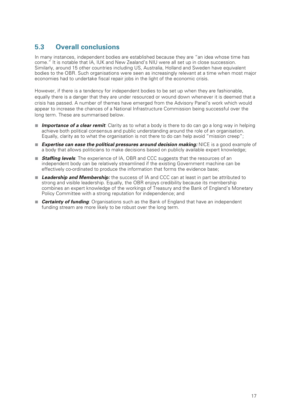# **5.3 Overall conclusions**

In many instances, independent bodies are established because they are "an idea whose time has come." It is notable that IA, IUK and New Zealand's NIU were all set up in close succession. Similarly, around 15 other countries including US, Australia, Holland and Sweden have equivalent bodies to the OBR. Such organisations were seen as increasingly relevant at a time when most major economies had to undertake fiscal repair jobs in the light of the economic crisis.

However, if there is a tendency for independent bodies to be set up when they are fashionable, equally there is a danger that they are under resourced or wound down whenever it is deemed that a crisis has passed. A number of themes have emerged from the Advisory Panel's work which would appear to increase the chances of a National Infrastructure Commission being successful over the long term. These are summarised below.

- *Importance of a clear remit*: Clarity as to what a body is there to do can go a long way in helping achieve both political consensus and public understanding around the role of an organisation. Equally, clarity as to what the organisation is not there to do can help avoid "mission creep";
- **Expertise can ease the political pressures around decision making:** NICE is a good example of a body that allows politicians to make decisions based on publicly available expert knowledge;
- **Staffing levels**: The experience of IA, OBR and CCC suggests that the resources of an independent body can be relatively streamlined if the existing Government machine can be effectively co-ordinated to produce the information that forms the evidence base;
- **Leadership and Membership:** the success of IA and CCC can at least in part be attributed to strong and visible leadership. Equally, the OBR enjoys credibility because its membership combines an expert knowledge of the workings of Treasury and the Bank of England's Monetary Policy Committee with a strong reputation for independence; and
- **Certainty of funding**: Organisations such as the Bank of England that have an independent funding stream are more likely to be robust over the long term.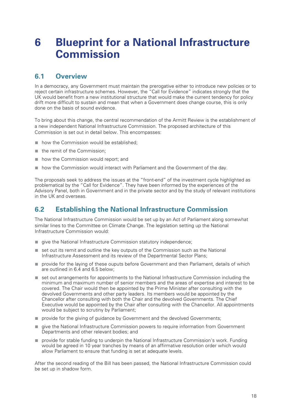# **6 Blueprint for a National Infrastructure Commission**

### **6.1 Overview**

In a democracy, any Government must maintain the prerogative either to introduce new policies or to reject certain infrastructure schemes. However, the "Call for Evidence" indicates strongly that the UK would benefit from a new institutional structure that would make the current tendency for policy drift more difficult to sustain and mean that when a Government does change course, this is only done on the basis of sound evidence.

To bring about this change, the central recommendation of the Armitt Review is the establishment of a new independent National Infrastructure Commission. The proposed architecture of this Commission is set out in detail below. This encompasses:

- how the Commission would be established;
- the remit of the Commission:
- how the Commission would report; and
- how the Commission would interact with Parliament and the Government of the day.

The proposals seek to address the issues at the "front-end" of the investment cycle highlighted as problematical by the "Call for Evidence". They have been informed by the experiences of the Advisory Panel, both in Government and in the private sector and by the study of relevant institutions in the UK and overseas.

# **6.2 Establishing the National Infrastructure Commission**

The National Infrastructure Commission would be set up by an Act of Parliament along somewhat similar lines to the Committee on Climate Change. The legislation setting up the National Infrastructure Commission would:

- give the National Infrastructure Commission statutory independence;
- set out its remit and outline the key outputs of the Commission such as the National Infrastructure Assessment and its review of the Departmental Sector Plans;
- provide for the laying of these ouputs before Government and then Parliament, details of which are outlined in 6.4 and 6.5 below;
- set out arrangements for appointments to the National Infrastructure Commission including the minimum and maximum number of senior members and the areas of expertise and interest to be covered. The Chair would then be appointed by the Prime Minister after consulting with the devolved Governments and other party leaders. Its members would be appointed by the Chancellor after consulting with both the Chair and the devolved Governments. The Chief Executive would be appointed by the Chair after consulting with the Chancellor. All appointments would be subject to scrutiny by Parliament;
- provide for the giving of guidance by Government and the devolved Governments;
- give the National Infrastructure Commission powers to require information from Government Departments and other relevant bodies; and
- provide for stable funding to underpin the National Infrastructure Commission's work. Funding would be agreed in 10 year tranches by means of an affirmative resolution order which would allow Parliament to ensure that funding is set at adequate levels.

After the second reading of the Bill has been passed, the National Infrastructure Commission could be set up in shadow form.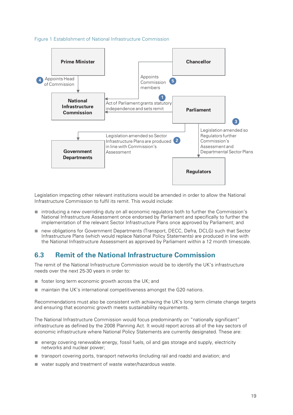#### Figure 1 Establishment of National Infrastructure Commission



Legislation impacting other relevant institutions would be amended in order to allow the National Infrastructure Commission to fulfil its remit. This would include:

- introducing a new overriding duty on all economic regulators both to further the Commission's National Infrastructure Assessment once endorsed by Parliament and specifically to further the implementation of the relevant Sector Infrastructure Plans once approved by Parliament; and
- new obligations for Government Departments (Transport, DECC, Defra, DCLG) such that Sector Infrastructure Plans (which would replace National Policy Statements) are produced in line with the National Infrastructure Assessment as approved by Parliament within a 12 month timescale.

### **6.3 Remit of the National Infrastructure Commission**

The remit of the National Infrastructure Commission would be to identify the UK's infrastructure needs over the next 25-30 years in order to:

- foster long term economic growth across the UK; and
- maintain the UK's international competitiveness amongst the G20 nations.

Recommendations must also be consistent with achieving the UK's long term climate change targets and ensuring that economic growth meets sustainability requirements.

The National Infrastructure Commission would focus predominantly on "nationally significant" infrastructure as defined by the 2008 Planning Act. It would report across all of the key sectors of economic infrastructure where National Policy Statements are currently designated. These are:

- energy covering renewable energy, fossil fuels, oil and gas storage and supply, electricity networks and nuclear power;
- transport covering ports, transport networks (including rail and roads) and aviation; and
- water supply and treatment of waste water/hazardous waste.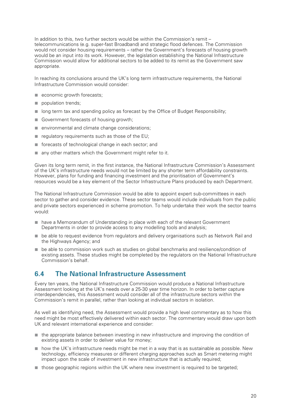In addition to this, two further sectors would be within the Commission's remit – telecommunications (e.g. super-fast Broadband) and strategic flood defences. The Commission would not consider housing requirements – rather the Government's forecasts of housing growth would be an input into its work. However, the legislation establishing the National Infrastructure Commission would allow for additional sectors to be added to its remit as the Government saw appropriate.

In reaching its conclusions around the UK's long term infrastructure requirements, the National Infrastructure Commission would consider:

- economic growth forecasts;
- population trends;
- long term tax and spending policy as forecast by the Office of Budget Responsibility;
- Government forecasts of housing growth;
- environmental and climate change considerations;
- regulatory requirements such as those of the EU;
- forecasts of technological change in each sector; and
- any other matters which the Government might refer to it.

Given its long term remit, in the first instance, the National Infrastructure Commission's Assessment of the UK's infrastructure needs would not be limited by any shorter term affordability constraints. However, plans for funding and financing investment and the prioritisation of Government's resources would be a key element of the Sector Infrastructure Plans produced by each Department.

The National Infrastructure Commission would be able to appoint expert sub-committees in each sector to gather and consider evidence. These sector teams would include individuals from the public and private sectors experienced in scheme promotion. To help undertake their work the sector teams would:

- have a Memorandum of Understanding in place with each of the relevant Government Departments in order to provide access to any modelling tools and analysis;
- be able to request evidence from regulators and delivery organisations such as Network Rail and the Highways Agency; and
- be able to commission work such as studies on global benchmarks and resilience/condition of existing assets. These studies might be completed by the regulators on the National Infrastructure Commission's behalf.

#### **6.4 The National Infrastructure Assessment**

Every ten years, the National Infrastructure Commission would produce a National Infrastructure Assessment looking at the UK's needs over a 25-30 year time horizon. In order to better capture interdependencies, this Assessment would consider all of the infrastructure sectors within the Commission's remit in parallel, rather than looking at individual sectors in isolation.

As well as identifying need, the Assessment would provide a high level commentary as to how this need might be most effectively delivered within each sector. The commentary would draw upon both UK and relevant international experience and consider:

- the appropriate balance between investing in new infrastructure and improving the condition of existing assets in order to deliver value for money;
- how the UK's infrastructure needs might be met in a way that is as sustainable as possible. New technology, efficiency measures or different charging approaches such as Smart metering might impact upon the scale of investment in new infrastructure that is actually required;
- those geographic regions within the UK where new investment is required to be targeted;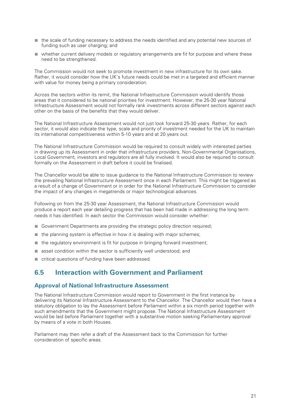- the scale of funding necessary to address the needs identified and any potential new sources of funding such as user charging; and
- whether current delivery models or regulatory arrangements are fit for purpose and where these need to be strengthened.

The Commission would not seek to promote investment in new infrastructure for its own sake. Rather, it would consider how the UK's future needs could be met in a targeted and efficient manner with value for money being a primary consideration.

Across the sectors within its remit, the National Infrastructure Commission would identify those areas that it considered to be national priorities for investment. However, the 25-30 year National Infrastructure Assessment would not formally rank investments across different sectors against each other on the basis of the benefits that they would deliver.

The National Infrastructure Assessment would not just look forward 25-30 years. Rather, for each sector, it would also indicate the type, scale and priority of investment needed for the UK to maintain its international competitiveness within 5-10 years and at 20 years out.

The National Infrastructure Commission would be required to consult widely with interested parties in drawing up its Assessment in order that infrastructure providers, Non-Governmental Organisations, Local Government, investors and regulators are all fully involved. It would also be required to consult formally on the Assessment in draft before it could be finalised.

The Chancellor would be able to issue guidance to the National Infrastructure Commission to review the prevailing National Infrastructure Assessment once in each Parliament. This might be triggered as a result of a change of Government or in order for the National Infrastructure Commission to consider the impact of any changes in megatrends or major technological advances.

Following on from the 25-30 year Assessment, the National Infrastructure Commission would produce a report each year detailing progress that has been had made in addressing the long term needs it has identified. In each sector the Commission would consider whether:

- Government Departments are providing the strategic policy direction required;
- the planning system is effective in how it is dealing with major schemes;
- the regulatory environment is fit for purpose in bringing forward investment;
- asset condition within the sector is sufficiently well understood; and
- critical questions of funding have been addressed.

#### **6.5 Interaction with Government and Parliament**

#### **Approval of National Infrastructure Assessment**

The National Infrastructure Commission would report to Government in the first instance by delivering its National Infrastructure Assessment to the Chancellor. The Chancellor would then have a statutory obligation to lay the Assessment before Parliament within a six month period together with such amendments that the Government might propose. The National Infrastructure Assessment would be laid before Parliament together with a substantive motion seeking Parliamentary approval by means of a vote in both Houses.

Parliament may then refer a draft of the Assessment back to the Commission for further consideration of specific areas.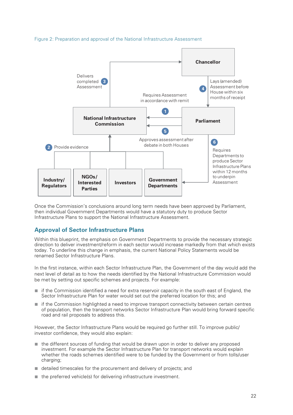



Once the Commission's conclusions around long term needs have been approved by Parliament, then individual Government Departments would have a statutory duty to produce Sector Infrastructure Plans to support the National Infrastructure Assessment.

#### **Approval of Sector Infrastructure Plans**

Within this blueprint, the emphasis on Government Departments to provide the necessary strategic direction to deliver investment/reform in each sector would increase markedly from that which exists today. To underline this change in emphasis, the current National Policy Statements would be renamed Sector Infrastructure Plans.

In the first instance, within each Sector Infrastructure Plan, the Government of the day would add the next level of detail as to how the needs identified by the National Infrastructure Commission would be met by setting out specific schemes and projects. For example:

- if the Commission identified a need for extra reservoir capacity in the south east of England, the Sector Infrastructure Plan for water would set out the preferred location for this; and
- if the Commission highlighted a need to improve transport connectivity between certain centres of population, then the transport networks Sector Infrastructure Plan would bring forward specific road and rail proposals to address this.

However, the Sector Infrastructure Plans would be required go further still. To improve public/ investor confidence, they would also explain:

- the different sources of funding that would be drawn upon in order to deliver any proposed investment. For example the Sector Infrastructure Plan for transport networks would explain whether the roads schemes identified were to be funded by the Government or from tolls/user charging;
- detailed timescales for the procurement and delivery of projects; and
- the preferred vehicle(s) for delivering infrastructure investment.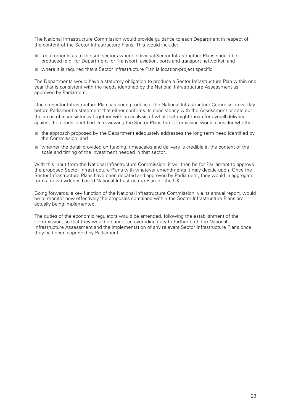The National Infrastructure Commission would provide guidance to each Department in respect of the content of the Sector Infrastructure Plans. This would include:

- requirements as to the sub-sectors where individual Sector Infrastructure Plans should be produced (e.g. for Department for Transport, aviation, ports and transport networks); and
- where it is required that a Sector Infrastructure Plan is location/project specific.

The Departments would have a statutory obligation to produce a Sector Infrastructure Plan within one year that is consistent with the needs identified by the National Infrastructure Assessment as approved by Parliament.

Once a Sector Infrastructure Plan has been produced, the National Infrastructure Commission will lay before Parliament a statement that either confirms its consistency with the Assessment or sets out the areas of inconsistency together with an analysis of what that might mean for overall delivery against the needs identified. In reviewing the Sector Plans the Commission would consider whether:

- the approach proposed by the Department adequately addresses the long term need identified by the Commission; and
- whether the detail provided on funding, timescales and delivery is credible in the context of the scale and timing of the investment needed in that sector.

With this input from the National Infrastructure Commission, it will then be for Parliament to approve the proposed Sector Infrastructure Plans with whatever amendments it may decide upon. Once the Sector Infrastructure Plans have been debated and approved by Parliament, they would in aggregate form a new evidence-based National Infrastructure Plan for the UK,

Going forwards, a key function of the National Infrastructure Commission, via its annual report, would be to monitor how effectively the proposals contained within the Sector Infrastructure Plans are actually being implemented.

The duties of the economic regulators would be amended, following the establishment of the Commission, so that they would be under an overriding duty to further both the National Infrastructure Assessment and the implementation of any relevant Sector Infrastructure Plans once they had been approved by Parliament.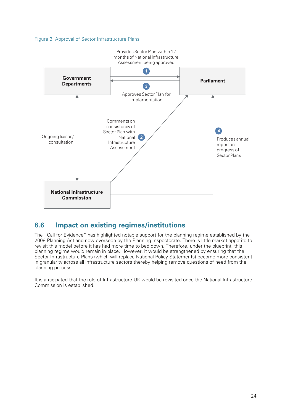#### Figure 3: Approval of Sector Infrastructure Plans



### **6.6 Impact on existing regimes/institutions**

The "Call for Evidence" has highlighted notable support for the planning regime established by the 2008 Planning Act and now overseen by the Planning Inspectorate. There is little market appetite to revisit this model before it has had more time to bed down. Therefore, under the blueprint, this planning regime would remain in place. However, it would be strengthened by ensuring that the Sector Infrastructure Plans (which will replace National Policy Statements) become more consistent in granularity across all infrastructure sectors thereby helping remove questions of need from the planning process.

It is anticipated that the role of Infrastructure UK would be revisited once the National Infrastructure Commission is established.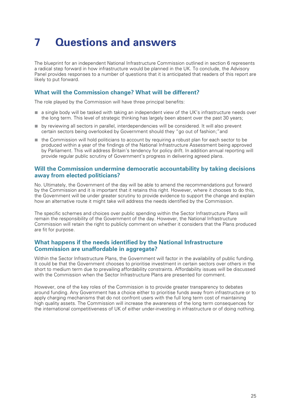# **7 Questions and answers**

The blueprint for an independent National Infrastructure Commission outlined in section 6 represents a radical step forward in how infrastructure would be planned in the UK. To conclude, the Advisory Panel provides responses to a number of questions that it is anticipated that readers of this report are likely to put forward.

#### **What will the Commission change? What will be different?**

The role played by the Commission will have three principal benefits:

- a single body will be tasked with taking an independent view of the UK's infrastructure needs over the long term. This level of strategic thinking has largely been absent over the past 30 years;
- by reviewing all sectors in parallel, interdependencies will be considered. It will also prevent certain sectors being overlooked by Government should they "go out of fashion;"and
- the Commission will hold politicians to account by requiring a robust plan for each sector to be produced within a year of the findings of the National Infrastructure Assessment being approved by Parliament. This will address Britain's tendency for policy drift. In addition annual reporting will provide regular public scrutiny of Government's progress in delivering agreed plans.

#### **Will the Commission undermine democratic accountability by taking decisions away from elected politicians?**

No. Ultimately, the Government of the day will be able to amend the recommendations put forward by the Commission and it is important that it retains this right. However, where it chooses to do this, the Government will be under greater scrutiny to provide evidence to support the change and explain how an alternative route it might take will address the needs identified by the Commission.

The specific schemes and choices over public spending within the Sector Infrastructure Plans will remain the responsibility of the Government of the day. However, the National Infrastructure Commission will retain the right to publicly comment on whether it considers that the Plans produced are fit for purpose.

#### **What happens if the needs identified by the National Infrastructure Commission are unaffordable in aggregate?**

Within the Sector Infrastructure Plans, the Government will factor in the availability of public funding. It could be that the Government chooses to prioritise investment in certain sectors over others in the short to medium term due to prevailing affordability constraints. Affordability issues will be discussed with the Commission when the Sector Infrastructure Plans are presented for comment.

However, one of the key roles of the Commission is to provide greater transparency to debates around funding. Any Government has a choice either to prioritise funds away from infrastructure or to apply charging mechanisms that do not confront users with the full long term cost of maintaining high quality assets. The Commission will increase the awareness of the long term consequences for the international competitiveness of UK of either under-investing in infrastructure or of doing nothing.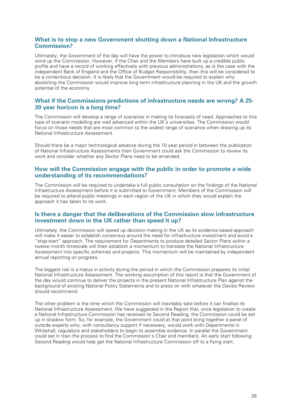#### **What is to stop a new Government shutting down a National Infrastructure Commission?**

Ultimately, the Government of the day will have the power to introduce new legislation which would wind up the Commission. However, if the Chair and the Members have built up a credible public profile and have a record of working effectively with previous administrations, as is the case with the independent Bank of England and the Office of Budget Responsibility, then this will be considered to be a contentious decision. It is likely that the Government would be required to explain why abolishing the Commission would improve long term infrastructure planning in the UK and the growth potential of the economy.

#### **What if the Commissions predictions of infrastructure needs are wrong? A 25- 30 year horizon is a long time?**

The Commission will develop a range of scenarios in making its forecasts of need. Approaches to this type of scenario modelling are well advanced within the UK's universities. The Commission would focus on those needs that are most common to the widest range of scenarios when drawing up its National Infrastructure Assessment.

Should there be a major technological advance during the 10 year period in between the publication of National Infrastructure Assessments then Government could ask the Commission to review its work and consider whether any Sector Plans need to be amended.

#### **How will the Commission engage with the public in order to promote a wide understanding of its recommendations?**

The Commission will be required to undertake a full public consultation on the findings of the National Infrastructure Assessment before it is submitted to Government. Members of the Commission will be required to attend public meetings in each region of the UK in which they would explain the approach it has taken to its work.

#### **Is there a danger that the deliberations of the Commission slow infrastructure investment down in the UK rather than speed it up?**

Ultimately, the Commission will speed up decision making in the UK as its evidence based approach will make it easier to establish consensus around the need for infrastructure investment and avoid a "stop-start" approach. The requirement for Departments to produce detailed Sector Plans within a twelve month timescale will then establish a momentum to translate the National Infrastructure Assessment into specific schemes and projects. This momentum will be maintained by independent annual reporting on progress.

The biggest risk is a hiatus in activity during the period in which the Commission prepares its initial National Infrastructure Assessment. The working assumption of this report is that the Government of the day would continue to deliver the projects in the present National Infrastructure Plan against the background of existing National Policy Statements and to press on with whatever the Davies Review should recommend.

The other problem is the time which the Commission will inevitably take before it can finalise its National Infrastructure Assessment. We have suggested in the Report that, once legislation to create a National Infrastructure Commission has received its Second Reading, the Commission could be set up in shadow form. So, for example, the Government could at that point bring together a panel of outside experts who, with consultancy support if necessary, would work with Departments in Whitehall, regulators and stakeholders to begin to assemble evidence. In parallel the Government could set in train the process to find the Commission's Chair and members. An early start following Second Reading would help get the National Infrastructure Commission off to a flying start.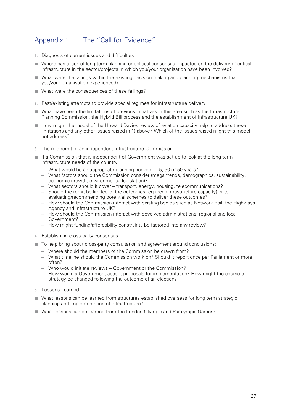# Appendix 1 The "Call for Evidence"

- **1.** Diagnosis of current issues and difficulties
- Where has a lack of long term planning or political consensus impacted on the delivery of critical infrastructure in the sector/projects in which you/your organisation have been involved?
- What were the failings within the existing decision making and planning mechanisms that you/your organisation experienced?
- What were the consequences of these failings?
- **2.** Past/existing attempts to provide special regimes for infrastructure delivery
- What have been the limitations of previous initiatives in this area such as the Infrastructure Planning Commission, the Hybrid Bill process and the establishment of Infrastructure UK?
- How might the model of the Howard Davies review of aviation capacity help to address these limitations and any other issues raised in 1) above? Which of the issues raised might this model not address?
- **3.** The role remit of an independent Infrastructure Commission
- If a Commission that is independent of Government was set up to look at the long term infrastructure needs of the country:
	- What would be an appropriate planning horizon 15, 30 or 50 years?
	- What factors should the Commission consider (mega trends, demographics, sustainability, economic growth, environmental legislation)?
	- What sectors should it cover transport, energy, housing, telecommunications?
	- Should the remit be limited to the outcomes required (infrastructure capacity) or to evaluating/recommending potential schemes to deliver these outcomes?
	- How should the Commission interact with existing bodies such as Network Rail, the Highways Agency and Infrastructure UK?
	- How should the Commission interact with devolved administrations, regional and local Government?
	- How might funding/affordability constraints be factored into any review?
- **4.** Establishing cross party consensus
- To help bring about cross-party consultation and agreement around conclusions:
	- Where should the members of the Commission be drawn from?
	- What timeline should the Commission work on? Should it report once per Parliament or more often?
	- Who would initiate reviews Government or the Commission?
	- How would a Government accept proposals for implementation? How might the course of strategy be changed following the outcome of an election?
- **5.** Lessons Learned
- What lessons can be learned from structures established overseas for long term strategic planning and implementation of infrastructure?
- What lessons can be learned from the London Olympic and Paralympic Games?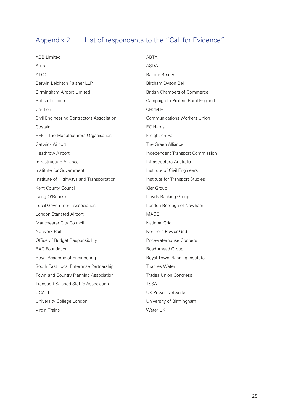# Appendix 2 List of respondents to the "Call for Evidence"

| <b>ABB</b> Limited                            | ABTA                                |
|-----------------------------------------------|-------------------------------------|
| Arup                                          | <b>ASDA</b>                         |
| ATOC                                          | <b>Balfour Beatty</b>               |
| Berwin Leighton Paisner LLP                   | Bircham Dyson Bell                  |
| Birmingham Airport Limited                    | <b>British Chambers of Commerce</b> |
| <b>British Telecom</b>                        | Campaign to Protect Rural England   |
| Carillion                                     | CH <sub>2</sub> M Hill              |
| Civil Engineering Contractors Association     | <b>Communications Workers Union</b> |
| Costain                                       | <b>EC</b> Harris                    |
| <b>EEF</b> - The Manufacturers Organisation   | Freight on Rail                     |
| Gatwick Airport                               | The Green Alliance                  |
| Heathrow Airport                              | Independent Transport Commission    |
| Infrastructure Alliance                       | Infrastructure Australia            |
| Institute for Government                      | Institute of Civil Engineers        |
| Institute of Highways and Transportation      | Institute for Transport Studies     |
| Kent County Council                           | Kier Group                          |
| Laing O'Rourke                                | Lloyds Banking Group                |
| Local Government Association                  | London Borough of Newham            |
| London Stansted Airport                       | <b>MACE</b>                         |
| Manchester City Council                       | <b>National Grid</b>                |
| Network Rail                                  | Northern Power Grid                 |
| Office of Budget Responsibility               | Pricewaterhouse Coopers             |
| <b>RAC</b> Foundation                         | Road Ahead Group                    |
| Royal Academy of Engineering                  | Royal Town Planning Institute       |
| South East Local Enterprise Partnership       | <b>Thames Water</b>                 |
| Town and Country Planning Association         | <b>Trades Union Congress</b>        |
| <b>Transport Salaried Staff's Association</b> | <b>TSSA</b>                         |
| UCATT                                         | <b>UK Power Networks</b>            |
| University College London                     | University of Birmingham            |
| Virgin Trains                                 | Water UK                            |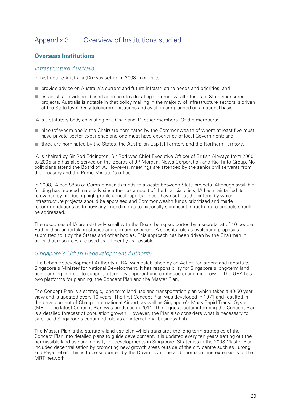# Appendix 3 Overview of Institutions studied

#### **Overseas Institutions**

#### *Infrastructure Australia*

Infrastructure Australia (IA) was set up in 2008 in order to:

- provide advice on Australia's current and future infrastructure needs and priorities; and
- establish an evidence based approach to allocating Commonwealth funds to State sponsored projects. Australia is notable in that policy making in the majority of infrastructure sectors is driven at the State level. Only telecommunications and aviation are planned on a national basis.

IA is a statutory body consisting of a Chair and 11 other members. Of the members:

- nine (of whom one is the Chair) are nominated by the Commonwealth of whom at least five must have private sector experience and one must have experience of local Government; and
- three are nominated by the States, the Australian Capital Territory and the Northern Territory.

IA is chaired by Sir Rod Eddington. Sir Rod was Chief Executive Officer of British Airways from 2000 to 2005 and has also served on the Boards of JP Morgan, News Corporation and Rio Tinto Group. No politicians attend the Board of IA. However, meetings are attended by the senior civil servants from the Treasury and the Prime Minister's office.

In 2008, IA had \$8bn of Commonwealth funds to allocate between State projects. Although available funding has reduced materially since then as a result of the financial crisis, IA has maintained its relevance by producing high profile annual reports. These have set out the criteria by which infrastructure projects should be appraised and Commonwealth funds prioritised and made recommendations as to how any impediments to nationally significant infrastructure projects should be addressed.

The resources of IA are relatively small with the Board being supported by a secretariat of 10 people. Rather than undertaking studies and primary research, IA sees its role as evaluating proposals submitted to it by the States and other bodies. This approach has been driven by the Chairman in order that resources are used as efficiently as possible.

#### *Singapore's Urban Redevelopment Authority*

The Urban Redevelopment Authority (URA) was established by an Act of Parliament and reports to Singapore's Minister for National Development. It has responsibility for Singapore's long-term land use planning in order to support future development and continued economic growth. The URA has two platforms for planning, the Concept Plan and the Master Plan.

The Concept Plan is a strategic, long term land use and transportation plan which takes a 40-50 year view and is updated every 10 years. The first Concept Plan was developed in 1971 and resulted in the development of Changi International Airport, as well as Singapore's Mass Rapid Transit System (MRT). The latest Concept Plan was produced in 2011. The biggest factor informing the Concept Plan is a detailed forecast of population growth. However, the Plan also considers what is necessary to safeguard Singapore's continued role as an international business hub.

The Master Plan is the statutory land use plan which translates the long term strategies of the Concept Plan into detailed plans to guide development. It is updated every ten years setting out the permissible land use and density for developments in Singapore. Strategies in the 2008 Master Plan included decentralisation by promoting new growth areas outside of the city centre such as Jurong and Paya Lebar. This is to be supported by the Downtown Line and Thomson Line extensions to the MRT network.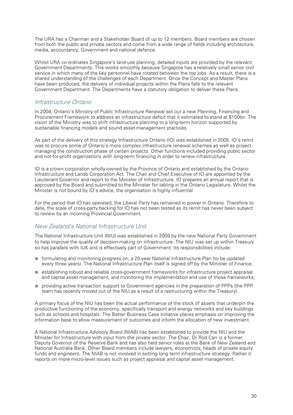The URA has a Chairman and a Stakeholder Board of up to 12 members. Board members are chosen from both the public and private sectors and come from a wide range of fields including architecture, media, accountancy, Government and national defence.

Whilst URA co-ordinates Singapore's land-use planning, detailed inputs are provided by the relevant Government Departments. This works smoothly because Singapore has a relatively small senior civil service in which many of the key personnel have rotated between the top jobs. As a result, there is a shared understanding of the challenges of each Department. Once the Concept and Master Plans have been produced, the delivery of individual projects within the Plans falls to the relevant Government Department. The Departments have a statutory obligation to deliver these Plans.

#### *Infrastructure Ontario*

In 2004, Ontario's Ministry of Public Infrastructure Renewal set out a new Planning, Financing and Procurement Framework to address an infrastructure deficit that it estimated to stand at \$100bn. The vision of the Ministry was to shift infrastructure planning to a long-term horizon supported by sustainable financing models and sound asset-management practices.

As part of the delivery of this strategy Infrastructure Ontario (IO) was established in 2005. IO's remit was to procure some of Ontario's more complex infrastructure renewal schemes as well as project managing the construction phase of certain projects. Other functions included providing public sector and not-for-profit organizations with long-term financing in order to renew infrastructure.

IO is a crown corporation wholly owned by the Province of Ontario and established by the Ontario Infrastructure and Lands Corporation Act. The Chair and Chief Executive of IO are appointed by the Lieutenant Governor and report to the Minister of Infrastructure. IO prepares an annual report that is approved by the Board and submitted to the Minister for tabling in the Ontario Legislature. Whilst the Minister is not bound by IO's advice, the organisation is highly influential.

For the period that IO has operated, the Liberal Party has remained in power in Ontario. Therefore to date, the scale of cross-party backing for IO has not been tested as its remit has never been subject to review by an incoming Provincial Government.

#### *New Zealand's National Infrastructure Unit*

The National Infrastructure Unit (NIU) was established in 2009 by the new National Party Government to help improve the quality of decision-making on infrastructure. The NIU was set up within Treasury so has parallels with IUK and is effectively part of Government. Its responsibilities include:

- formulating and monitoring progress on, a 20-year National Infrastructure Plan (to be updated every three years). The National Infrastructure Plan itself is signed off by the Minister of Finance;
- establishing robust and reliable cross-government frameworks for infrastructure project appraisal and capital asset management, and monitoring the implementation and use of those frameworks;
- providing active transaction support to Government agencies in the preparation of PPPs (the PPP team has recently moved out of the NIU as a result of a restructuring within the Treasury).

A primary focus of the NIU has been the actual performance of the stock of assets that underpin the productive functioning of the economy, specifically transport and energy networks and key buildings such as schools and hospitals. The Better Business Case initiative places emphasis on improving the information base to allow measurement of outcomes and inform the allocation of new investment.

A National Infrastructure Advisory Board (NIAB) has been established to provide the NIU and the Minister for Infrastructure with input from the private sector. The Chair, Dr Rod Carr is a former Deputy Governor of the Reserve Bank and has also held senior roles at the Bank of New Zealand and National Australia Bank. Other Board members include lawyers, economists, heads of private equity funds and engineers. The NIAB is not involved in setting long term infrastructure strategy. Rather it reports on more micro-level issues such as project appraisal and capital asset management.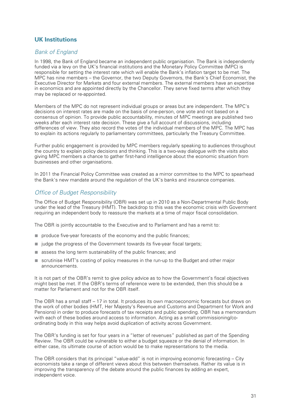#### **UK Institutions**

#### *Bank of England*

In 1998, the Bank of England became an independent public organisation. The Bank is independently funded via a levy on the UK's financial institutions and the Monetary Policy Committee (MPC) is responsible for setting the interest rate which will enable the Bank's inflation target to be met. The MPC has nine members – the Governor, the two Deputy Governors, the Bank's Chief Economist, the Executive Director for Markets and four external members. The external members have an expertise in economics and are appointed directly by the Chancellor. They serve fixed terms after which they may be replaced or re-appointed.

Members of the MPC do not represent individual groups or areas but are independent. The MPC's decisions on interest rates are made on the basis of one-person, one vote and not based on a consensus of opinion. To provide public accountability, minutes of MPC meetings are published two weeks after each interest rate decision. These give a full account of discussions, including differences of view. They also record the votes of the individual members of the MPC. The MPC has to explain its actions regularly to parliamentary committees, particularly the Treasury Committee.

Further public engagement is provided by MPC members regularly speaking to audiences throughout the country to explain policy decisions and thinking. This is a two-way dialogue with the visits also giving MPC members a chance to gather first-hand intelligence about the economic situation from businesses and other organisations.

In 2011 the Financial Policy Committee was created as a mirror committee to the MPC to spearhead the Bank's new mandate around the regulation of the UK's banks and insurance companies.

#### *Office of Budget Responsibility*

The Office of Budget Responsibility (OBR) was set up in 2010 as a Non-Departmental Public Body under the lead of the Treasury (HMT). The backdrop to this was the economic crisis with Government requiring an independent body to reassure the markets at a time of major fiscal consolidation.

The OBR is jointly accountable to the Executive and to Parliament and has a remit to:

- produce five-year forecasts of the economy and the public finances;
- judge the progress of the Government towards its five-year fiscal targets;
- assess the long term sustainability of the public finances; and
- scrutinise HMT's costing of policy measures in the run-up to the Budget and other major announcements.

It is not part of the OBR's remit to give policy advice as to how the Government's fiscal objectives might best be met. If the OBR's terms of reference were to be extended, then this should be a matter for Parliament and not for the OBR itself.

The OBR has a small staff – 17 in total. It produces its own macroeconomic forecasts but draws on the work of other bodies (HMT, Her Majesty's Revenue and Customs and Department for Work and Pensions) in order to produce forecasts of tax receipts and public spending. OBR has a memorandum with each of these bodies around access to information. Acting as a small commissioning/coordinating body in this way helps avoid duplication of activity across Government.

The OBR's funding is set for four years in a "letter of revenues" published as part of the Spending Review. The OBR could be vulnerable to either a budget squeeze or the denial of information. In either case, its ultimate course of action would be to make representations to the media.

The OBR considers that its principal "value-add" is not in improving economic forecasting – City economists take a range of different views about this between themselves. Rather its value is in improving the transparency of the debate around the public finances by adding an expert, independent voice.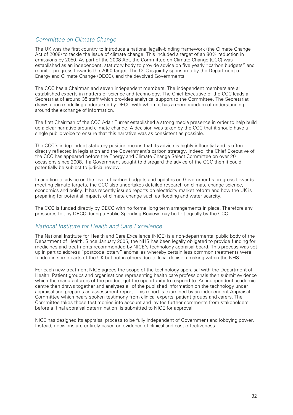#### *Committee on Climate Change*

The UK was the first country to introduce a national legally-binding framework (the Climate Change Act of 2008) to tackle the issue of climate change. This included a target of an 80% reduction in emissions by 2050. As part of the 2008 Act, the Committee on Climate Change (CCC) was established as an independent, statutory body to provide advice on five yearly "carbon budgets" and monitor progress towards the 2050 target. The CCC is jointly sponsored by the Department of Energy and Climate Change (DECC), and the devolved Governments.

The CCC has a Chairman and seven independent members. The independent members are all established experts in matters of science and technology. The Chief Executive of the CCC leads a Secretariat of around 35 staff which provides analytical support to the Committee. The Secretariat draws upon modelling undertaken by DECC with whom it has a memorandum of understanding around the exchange of information.

The first Chairman of the CCC Adair Turner established a strong media presence in order to help build up a clear narrative around climate change. A decision was taken by the CCC that it should have a single public voice to ensure that this narrative was as consistent as possible.

The CCC's independent statutory position means that its advice is highly influential and is often directly reflected in legislation and the Government's carbon strategy. Indeed, the Chief Executive of the CCC has appeared before the Energy and Climate Change Select Committee on over 20 occasions since 2008. If a Government sought to disregard the advice of the CCC then it could potentially be subject to judicial review.

In addition to advice on the level of carbon budgets and updates on Government's progress towards meeting climate targets, the CCC also undertakes detailed research on climate change science, economics and policy. It has recently issued reports on electricity market reform and how the UK is preparing for potential impacts of climate change such as flooding and water scarcity.

The CCC is funded directly by DECC with no formal long term arrangements in place. Therefore any pressures felt by DECC during a Public Spending Review may be felt equally by the CCC.

#### *National Institute for Health and Care Excellence*

The National Institute for Health and Care Excellence (NICE) is a non-departmental public body of the Department of Health. Since January 2005, the NHS has been legally obligated to provide funding for medicines and treatments recommended by NICE's technology appraisal board. This process was set up in part to address "postcode lottery" anomalies whereby certain less common treatments were funded in some parts of the UK but not in others due to local decision making within the NHS.

For each new treatment NICE agrees the scope of the technology appraisal with the Department of Health. Patient groups and organisations representing health care professionals then submit evidence which the manufacturers of the product get the opportunity to respond to. An independent academic centre then draws together and analyses all of the published information on the technology under appraisal and prepares an assessment report. This report is examined by an independent Appraisal Committee which hears spoken testimony from clinical experts, patient groups and carers. The Committee takes these testimonies into account and invites further comments from stakeholders before a 'final appraisal determination' is submitted to NICE for approval.

NICE has designed its appraisal process to be fully independent of Government and lobbying power. Instead, decisions are entirely based on evidence of clinical and cost effectiveness.